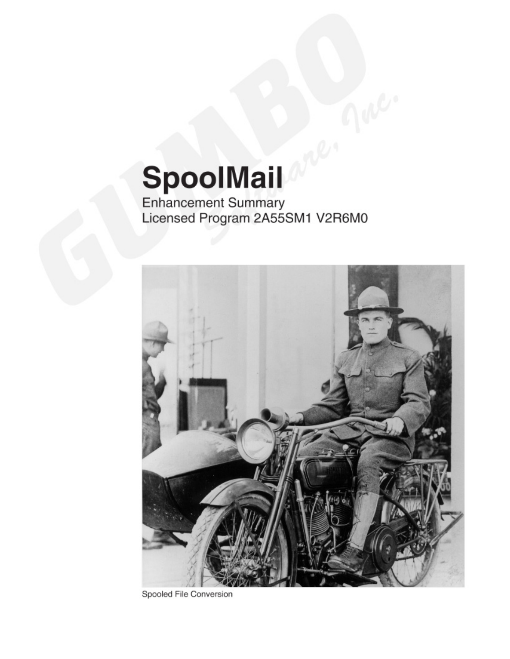# SpoolMail

Enhancement Summary<br>Licensed Program 2A55SM1 V2R6M0



Spooled File Conversion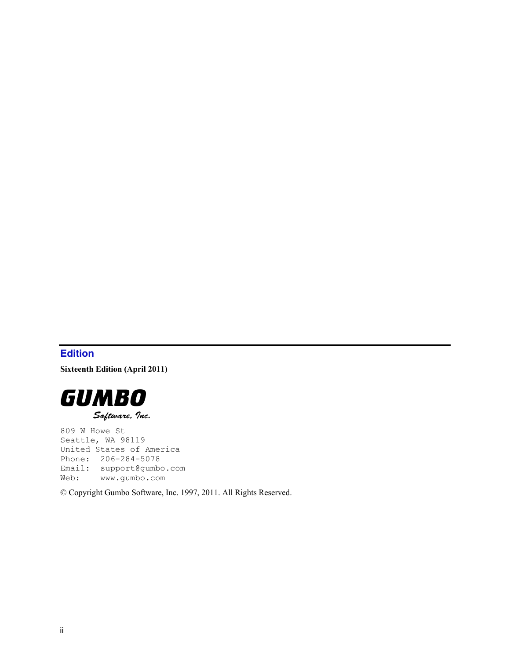# <span id="page-1-0"></span>**Edition**

**Sixteenth Edition (April 2011)** 



809 W Howe St Seattle, WA 98119 United States of America Phone: 206-284-5078 Email: support@gumbo.com Web: www.gumbo.com

© Copyright Gumbo Software, Inc. 1997, 2011. All Rights Reserved.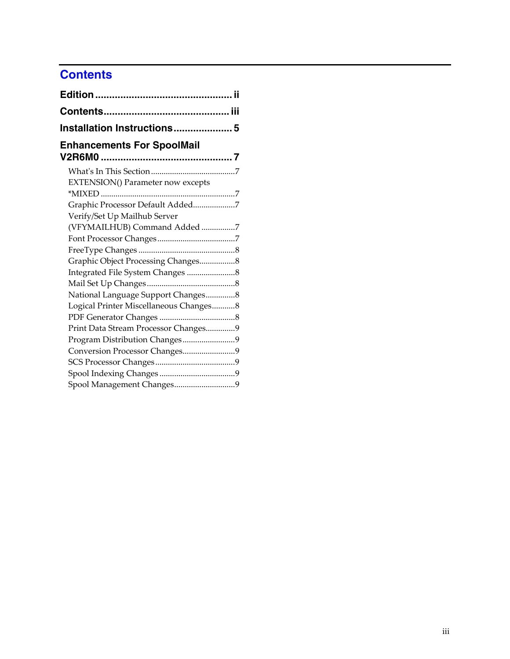# <span id="page-2-0"></span>**Contents**

| Installation Instructions 5              |  |
|------------------------------------------|--|
| <b>Enhancements For SpoolMail</b>        |  |
|                                          |  |
| <b>EXTENSION() Parameter now excepts</b> |  |
|                                          |  |
| Graphic Processor Default Added7         |  |
| Verify/Set Up Mailhub Server             |  |
| (VFYMAILHUB) Command Added 7             |  |
|                                          |  |
|                                          |  |
| Graphic Object Processing Changes8       |  |
|                                          |  |
|                                          |  |
| National Language Support Changes8       |  |
| Logical Printer Miscellaneous Changes8   |  |
|                                          |  |
| Print Data Stream Processor Changes9     |  |
| Program Distribution Changes9            |  |
| Conversion Processor Changes9            |  |
|                                          |  |
|                                          |  |
| Spool Management Changes9                |  |
|                                          |  |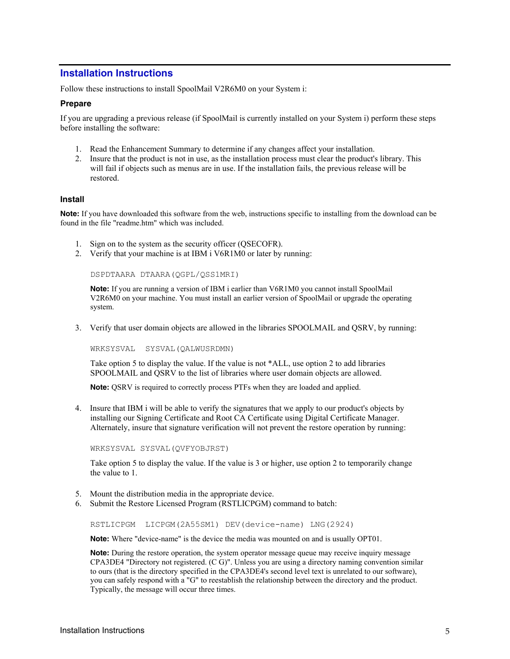# <span id="page-4-0"></span>**Installation Instructions**

Follow these instructions to install SpoolMail V2R6M0 on your System i:

#### **Prepare**

If you are upgrading a previous release (if SpoolMail is currently installed on your System i) perform these steps before installing the software:

- 1. Read the Enhancement Summary to determine if any changes affect your installation.
- 2. Insure that the product is not in use, as the installation process must clear the product's library. This will fail if objects such as menus are in use. If the installation fails, the previous release will be restored.

#### **Install**

**Note:** If you have downloaded this software from the web, instructions specific to installing from the download can be found in the file "readme.htm" which was included.

- 1. Sign on to the system as the security officer (QSECOFR).
- 2. Verify that your machine is at IBM i V6R1M0 or later by running:

DSPDTAARA DTAARA(QGPL/QSS1MRI)

**Note:** If you are running a version of IBM i earlier than V6R1M0 you cannot install SpoolMail V2R6M0 on your machine. You must install an earlier version of SpoolMail or upgrade the operating system.

3. Verify that user domain objects are allowed in the libraries SPOOLMAIL and QSRV, by running:

WRKSYSVAL SYSVAL(QALWUSRDMN)

Take option 5 to display the value. If the value is not \*ALL, use option 2 to add libraries SPOOLMAIL and QSRV to the list of libraries where user domain objects are allowed.

**Note:** QSRV is required to correctly process PTFs when they are loaded and applied.

4. Insure that IBM i will be able to verify the signatures that we apply to our product's objects by installing our Signing Certificate and Root CA Certificate using Digital Certificate Manager. Alternately, insure that signature verification will not prevent the restore operation by running:

WRKSYSVAL SYSVAL(QVFYOBJRST)

Take option 5 to display the value. If the value is 3 or higher, use option 2 to temporarily change the value to 1.

- 5. Mount the distribution media in the appropriate device.
- 6. Submit the Restore Licensed Program (RSTLICPGM) command to batch:

RSTLICPGM LICPGM(2A55SM1) DEV(device-name) LNG(2924)

**Note:** Where "device-name" is the device the media was mounted on and is usually OPT01.

**Note:** During the restore operation, the system operator message queue may receive inquiry message CPA3DE4 "Directory not registered. (C G)". Unless you are using a directory naming convention similar to ours (that is the directory specified in the CPA3DE4's second level text is unrelated to our software), you can safely respond with a "G" to reestablish the relationship between the directory and the product. Typically, the message will occur three times.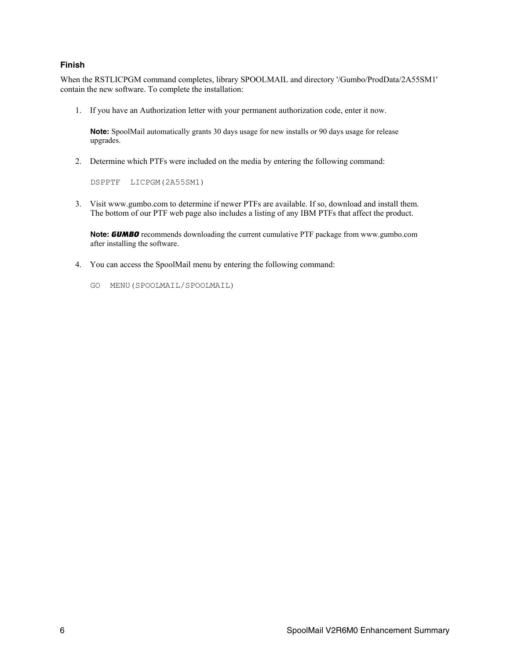#### **Finish**

When the RSTLICPGM command completes, library SPOOLMAIL and directory '/Gumbo/ProdData/2A55SM1' contain the new software. To complete the installation:

1. If you have an Authorization letter with your permanent authorization code, enter it now.

**Note:** SpoolMail automatically grants 30 days usage for new installs or 90 days usage for release upgrades.

2. Determine which PTFs were included on the media by entering the following command:

DSPPTF LICPGM(2A55SM1)

3. Visit www.gumbo.com to determine if newer PTFs are available. If so, download and install them. The bottom of our PTF web page also includes a listing of any IBM PTFs that affect the product.

**Note:** *GUMBO* recommends downloading the current cumulative PTF package from www.gumbo.com after installing the software.

- 4. You can access the SpoolMail menu by entering the following command:
	- GO MENU(SPOOLMAIL/SPOOLMAIL)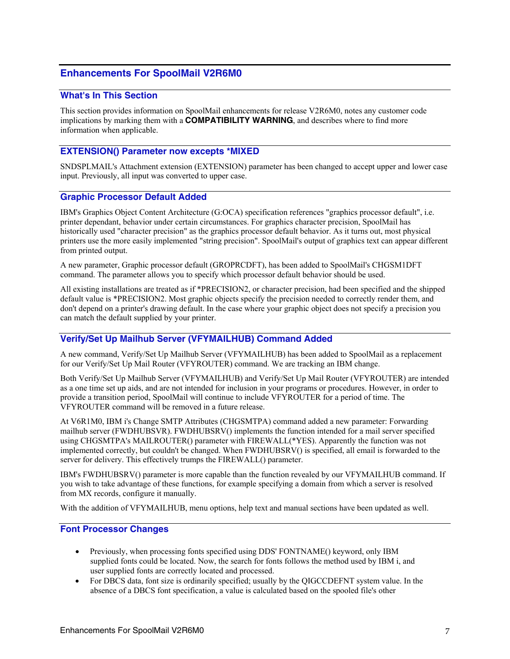# <span id="page-6-0"></span>**Enhancements For SpoolMail V2R6M0**

#### <span id="page-6-1"></span>**What's In This Section**

This section provides information on SpoolMail enhancements for release V2R6M0, notes any customer code implications by marking them with a **COMPATIBILITY WARNING**, and describes where to find more information when applicable.

## <span id="page-6-2"></span>**EXTENSION() Parameter now excepts \*MIXED**

SNDSPLMAIL's Attachment extension (EXTENSION) parameter has been changed to accept upper and lower case input. Previously, all input was converted to upper case.

#### <span id="page-6-3"></span>**Graphic Processor Default Added**

IBM's Graphics Object Content Architecture (G:OCA) specification references "graphics processor default", i.e. printer dependant, behavior under certain circumstances. For graphics character precision, SpoolMail has historically used "character precision" as the graphics processor default behavior. As it turns out, most physical printers use the more easily implemented "string precision". SpoolMail's output of graphics text can appear different from printed output.

A new parameter, Graphic processor default (GROPRCDFT), has been added to SpoolMail's CHGSM1DFT command. The parameter allows you to specify which processor default behavior should be used.

All existing installations are treated as if \*PRECISION2, or character precision, had been specified and the shipped default value is \*PRECISION2. Most graphic objects specify the precision needed to correctly render them, and don't depend on a printer's drawing default. In the case where your graphic object does not specify a precision you can match the default supplied by your printer.

#### <span id="page-6-4"></span>**Verify/Set Up Mailhub Server (VFYMAILHUB) Command Added**

A new command, Verify/Set Up Mailhub Server (VFYMAILHUB) has been added to SpoolMail as a replacement for our Verify/Set Up Mail Router (VFYROUTER) command. We are tracking an IBM change.

Both Verify/Set Up Mailhub Server (VFYMAILHUB) and Verify/Set Up Mail Router (VFYROUTER) are intended as a one time set up aids, and are not intended for inclusion in your programs or procedures. However, in order to provide a transition period, SpoolMail will continue to include VFYROUTER for a period of time. The VFYROUTER command will be removed in a future release.

At V6R1M0, IBM i's Change SMTP Attributes (CHGSMTPA) command added a new parameter: Forwarding mailhub server (FWDHUBSVR). FWDHUBSRV() implements the function intended for a mail server specified using CHGSMTPA's MAILROUTER() parameter with FIREWALL(\*YES). Apparently the function was not implemented correctly, but couldn't be changed. When FWDHUBSRV() is specified, all email is forwarded to the server for delivery. This effectively trumps the FIREWALL() parameter.

IBM's FWDHUBSRV() parameter is more capable than the function revealed by our VFYMAILHUB command. If you wish to take advantage of these functions, for example specifying a domain from which a server is resolved from MX records, configure it manually.

With the addition of VFYMAILHUB, menu options, help text and manual sections have been updated as well.

#### <span id="page-6-5"></span>**Font Processor Changes**

- Previously, when processing fonts specified using DDS' FONTNAME() keyword, only IBM supplied fonts could be located. Now, the search for fonts follows the method used by IBM i, and user supplied fonts are correctly located and processed.
- For DBCS data, font size is ordinarily specified; usually by the QIGCCDEFNT system value. In the absence of a DBCS font specification, a value is calculated based on the spooled file's other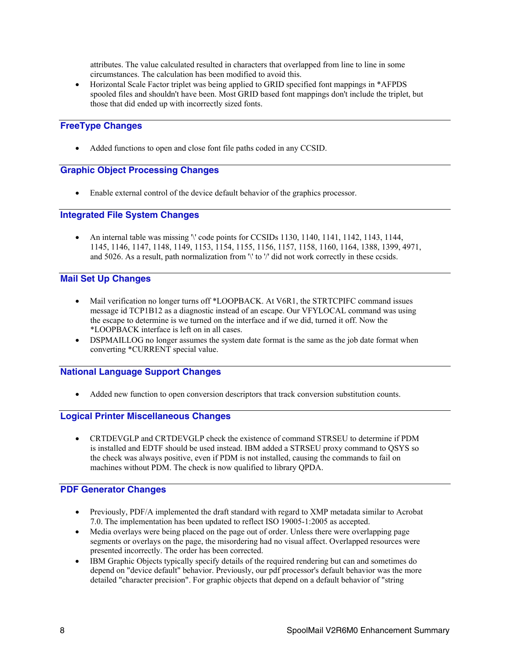attributes. The value calculated resulted in characters that overlapped from line to line in some circumstances. The calculation has been modified to avoid this.

 Horizontal Scale Factor triplet was being applied to GRID specified font mappings in \*AFPDS spooled files and shouldn't have been. Most GRID based font mappings don't include the triplet, but those that did ended up with incorrectly sized fonts.

## <span id="page-7-0"></span>**FreeType Changes**

Added functions to open and close font file paths coded in any CCSID.

## <span id="page-7-1"></span>**Graphic Object Processing Changes**

Enable external control of the device default behavior of the graphics processor.

### <span id="page-7-2"></span>**Integrated File System Changes**

• An internal table was missing '\' code points for CCSIDs 1130, 1140, 1141, 1142, 1143, 1144, 1145, 1146, 1147, 1148, 1149, 1153, 1154, 1155, 1156, 1157, 1158, 1160, 1164, 1388, 1399, 4971, and 5026. As a result, path normalization from '\' to '/' did not work correctly in these ccsids.

#### <span id="page-7-3"></span>**Mail Set Up Changes**

- Mail verification no longer turns off \*LOOPBACK. At V6R1, the STRTCPIFC command issues message id TCP1B12 as a diagnostic instead of an escape. Our VFYLOCAL command was using the escape to determine is we turned on the interface and if we did, turned it off. Now the \*LOOPBACK interface is left on in all cases.
- DSPMAILLOG no longer assumes the system date format is the same as the job date format when converting \*CURRENT special value.

#### <span id="page-7-4"></span>**National Language Support Changes**

Added new function to open conversion descriptors that track conversion substitution counts.

#### <span id="page-7-5"></span>**Logical Printer Miscellaneous Changes**

 CRTDEVGLP and CRTDEVGLP check the existence of command STRSEU to determine if PDM is installed and EDTF should be used instead. IBM added a STRSEU proxy command to QSYS so the check was always positive, even if PDM is not installed, causing the commands to fail on machines without PDM. The check is now qualified to library QPDA.

## <span id="page-7-6"></span>**PDF Generator Changes**

- Previously, PDF/A implemented the draft standard with regard to XMP metadata similar to Acrobat 7.0. The implementation has been updated to reflect ISO 19005-1:2005 as accepted.
- Media overlays were being placed on the page out of order. Unless there were overlapping page segments or overlays on the page, the misordering had no visual affect. Overlapped resources were presented incorrectly. The order has been corrected.
- IBM Graphic Objects typically specify details of the required rendering but can and sometimes do depend on "device default" behavior. Previously, our pdf processor's default behavior was the more detailed "character precision". For graphic objects that depend on a default behavior of "string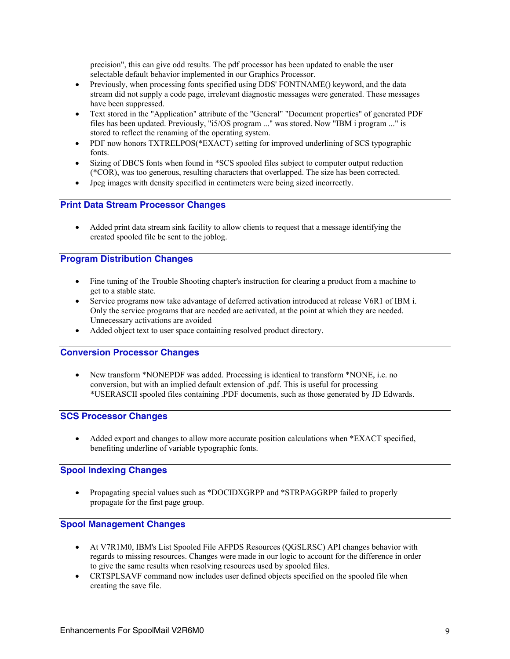precision", this can give odd results. The pdf processor has been updated to enable the user selectable default behavior implemented in our Graphics Processor.

- Previously, when processing fonts specified using DDS' FONTNAME() keyword, and the data stream did not supply a code page, irrelevant diagnostic messages were generated. These messages have been suppressed.
- Text stored in the "Application" attribute of the "General" "Document properties" of generated PDF files has been updated. Previously, "i5/OS program ..." was stored. Now "IBM i program ..." is stored to reflect the renaming of the operating system.
- PDF now honors TXTRELPOS(\*EXACT) setting for improved underlining of SCS typographic fonts.
- Sizing of DBCS fonts when found in \*SCS spooled files subject to computer output reduction (\*COR), was too generous, resulting characters that overlapped. The size has been corrected.
- Jpeg images with density specified in centimeters were being sized incorrectly.

#### <span id="page-8-0"></span>**Print Data Stream Processor Changes**

 Added print data stream sink facility to allow clients to request that a message identifying the created spooled file be sent to the joblog.

## <span id="page-8-1"></span>**Program Distribution Changes**

- Fine tuning of the Trouble Shooting chapter's instruction for clearing a product from a machine to get to a stable state.
- Service programs now take advantage of deferred activation introduced at release V6R1 of IBM i. Only the service programs that are needed are activated, at the point at which they are needed. Unnecessary activations are avoided
- Added object text to user space containing resolved product directory.

#### <span id="page-8-2"></span>**Conversion Processor Changes**

 New transform \*NONEPDF was added. Processing is identical to transform \*NONE, i.e. no conversion, but with an implied default extension of .pdf. This is useful for processing \*USERASCII spooled files containing .PDF documents, such as those generated by JD Edwards.

## <span id="page-8-3"></span>**SCS Processor Changes**

 Added export and changes to allow more accurate position calculations when \*EXACT specified, benefiting underline of variable typographic fonts.

## <span id="page-8-4"></span>**Spool Indexing Changes**

 Propagating special values such as \*DOCIDXGRPP and \*STRPAGGRPP failed to properly propagate for the first page group.

#### <span id="page-8-5"></span>**Spool Management Changes**

- At V7R1M0, IBM's List Spooled File AFPDS Resources (QGSLRSC) API changes behavior with regards to missing resources. Changes were made in our logic to account for the difference in order to give the same results when resolving resources used by spooled files.
- CRTSPLSAVF command now includes user defined objects specified on the spooled file when creating the save file.